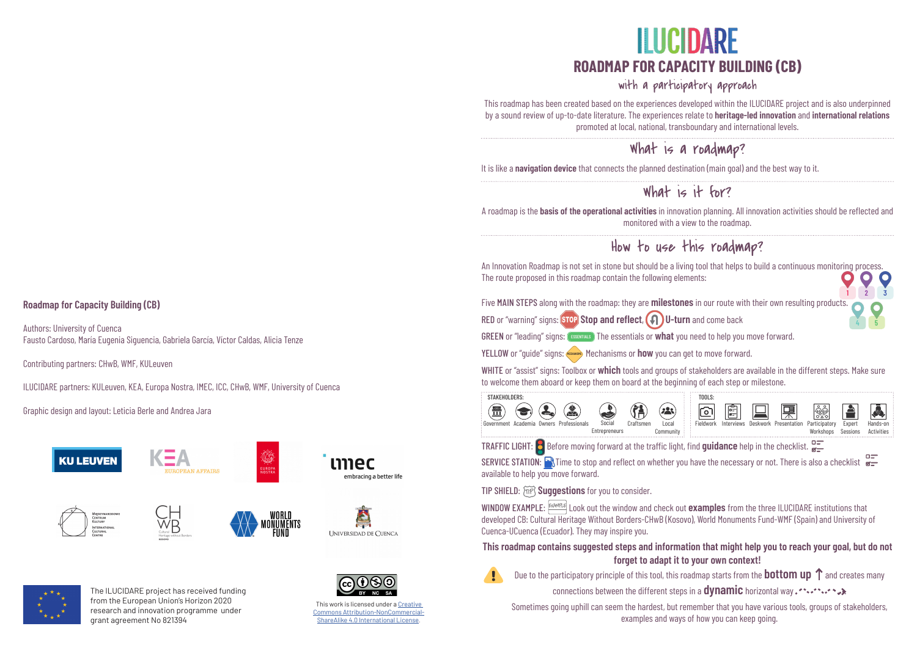An Innovation Roadmap is not set in stone but should be a living tool that helps to build a continuous monitoring process. The route proposed in this roadmap contain the following elements:

Five MAIN STEPS along with the roadmap: they are **milestones** in our route with their own resulting products.

YELLOW or "guide" signs: (HECHANISMS) Mechanisms or **how** you can get to move forward.

SERVICE STATION: **The to stop and reflect on whether you have the necessary or not.** There is also a checklist  $\frac{1}{2}$ available to help you move forward.

TIP SHIELD:  $\widetilde{\text{MP}}$  Suggestions for you to consider.

WHITE or "assist" signs: Toolbox or **which** tools and groups of stakeholders are available in the different steps. Make sure to welcome them aboard or keep them on board at the beginning of each step or milestone.



WINDOW EXAMPLE: **EXAMPLE** Look out the window and check out **examples** from the three ILUCIDARE institutions that developed CB: Cultural Heritage Without Borders-CHwB (Kosovo), World Monuments Fund-WMF (Spain) and University of Cuenca-UCuenca (Ecuador). They may inspire you.

# **ILUCIDARE ROADMAP FOR CAPACITY BUILDING (CB)**

**3**

### with a participatory approach

# What is it for?

## How to use this roadmap?

### What is a roadmap?

It is like a **navigation device** that connects the planned destination (main goal) and the best way to it.

#### **This roadmap contains suggested steps and information that might help you to reach your goal, but do not forget to adapt it to your own context!**

Due to the participatory principle of this tool, this roadmap starts from the **bottom up**  $\uparrow$  and creates many

A roadmap is the **basis of the operational activities** in innovation planning. All innovation activities should be reflected and monitored with a view to the roadmap.

**Roadmap for Capacity Building (CB)**

Authors: University of Cuenca Fausto Cardoso, María Eugenia Siguencia, Gabriela García, Víctor Caldas, Alicia Tenze

Contributing partners: CHwB, WMF, KULeuven

ILUCIDARE partners: KULeuven, KEA, Europa Nostra, IMEC, ICC, CHwB, WMF, University of Cuenca

Graphic design and layout: Leticia Berle and Andrea Jara





This roadmap has been created based on the experiences developed within the ILUCIDARE project and is also underpinned by a sound review of up-to-date literature. The experiences relate to **heritage-led innovation** and **international relations** promoted at local, national, transboundary and international levels.

**!**

connections between the different steps in a **dynamic** horizontal way .

Sometimes going uphill can seem the hardest, but remember that you have various tools, groups of stakeholders, examples and ways of how you can keep going.



TRAFFIC LIGHT: Before moving forward at the traffic light, find **guidance** help in the checklist.

**1 2**

**4 5**

RED or "warning" signs: **STOP** Stop and reflect, **(4)** U-turn and come back

GREEN or "leading" signs: (ESSENTIALS ) The essentials or what you need to help you move forward.

The ILUCIDARE project has received funding from the European Union's Horizon 2020 research and innovation programme under grant agreement No 821394



This work is licensed under a [Creative](https://creativecommons.org/licenses/by-nc-sa/4.0/)  [Commons Attribution-NonCommercial-](https://creativecommons.org/licenses/by-nc-sa/4.0/)[ShareAlike 4.0 International License.](https://creativecommons.org/licenses/by-nc-sa/4.0/)